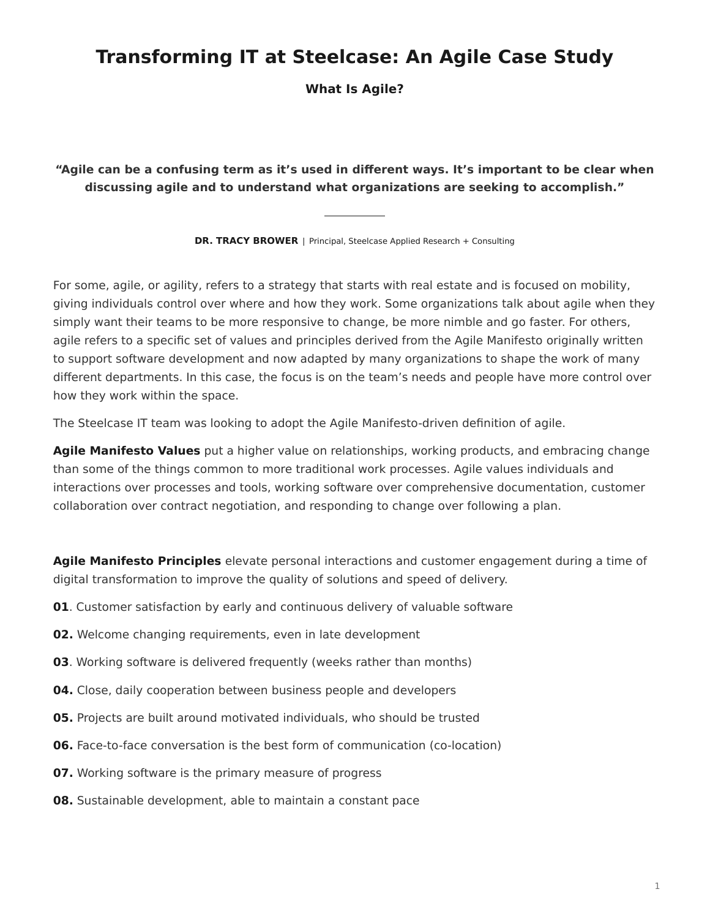## **Transforming IT at Steelcase: An Agile Case Study**

**What Is Agile?**

**"Agile can be a confusing term as it's used in different ways. It's important to be clear when discussing agile and to understand what organizations are seeking to accomplish."**

**DR. TRACY BROWER** | Principal, Steelcase Applied Research + Consulting

For some, agile, or agility, refers to a strategy that starts with real estate and is focused on mobility, giving individuals control over where and how they work. Some organizations talk about agile when they simply want their teams to be more responsive to change, be more nimble and go faster. For others, agile refers to a specific set of values and principles derived from the Agile Manifesto originally written to support software development and now adapted by many organizations to shape the work of many different departments. In this case, the focus is on the team's needs and people have more control over how they work within the space.

The Steelcase IT team was looking to adopt the Agile Manifesto-driven definition of agile.

**Agile Manifesto Values** put a higher value on relationships, working products, and embracing change than some of the things common to more traditional work processes. Agile values individuals and interactions over processes and tools, working software over comprehensive documentation, customer collaboration over contract negotiation, and responding to change over following a plan.

**Agile Manifesto Principles** elevate personal interactions and customer engagement during a time of digital transformation to improve the quality of solutions and speed of delivery.

- **01**. Customer satisfaction by early and continuous delivery of valuable software
- **02.** Welcome changing requirements, even in late development
- **03**. Working software is delivered frequently (weeks rather than months)
- **04.** Close, daily cooperation between business people and developers
- **05.** Projects are built around motivated individuals, who should be trusted
- **06.** Face-to-face conversation is the best form of communication (co-location)
- **07.** Working software is the primary measure of progress
- **08.** Sustainable development, able to maintain a constant pace